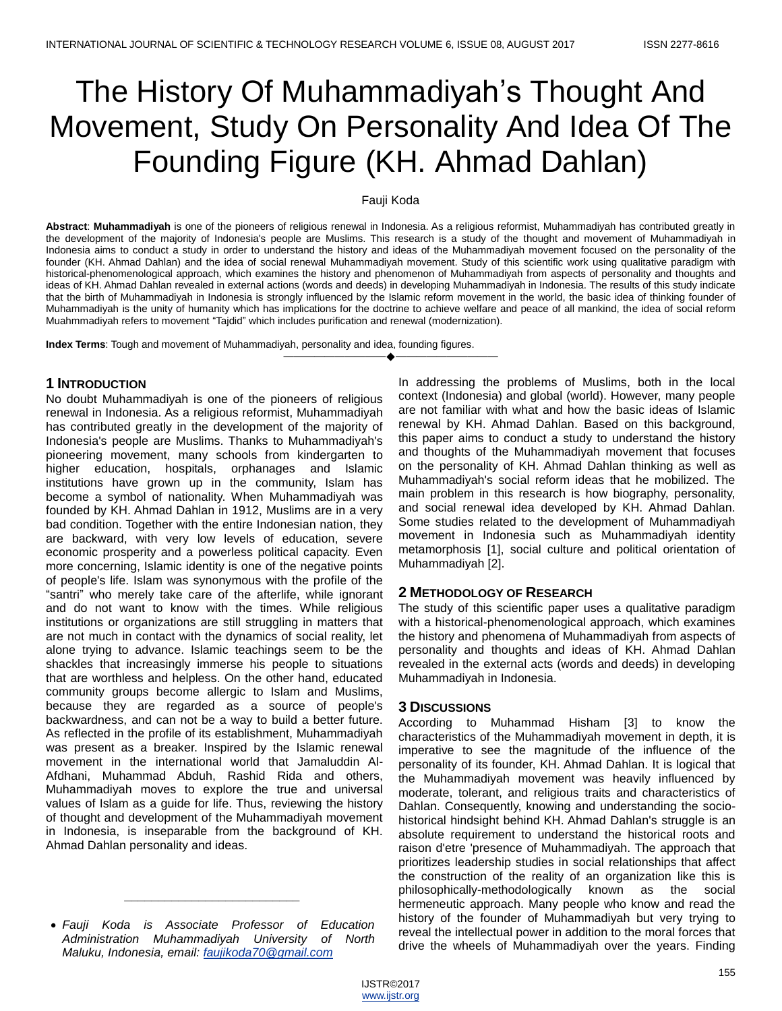# The History Of Muhammadiyah's Thought And Movement, Study On Personality And Idea Of The Founding Figure (KH. Ahmad Dahlan)

#### Fauji Koda

**Abstract**: **Muhammadiyah** is one of the pioneers of religious renewal in Indonesia. As a religious reformist, Muhammadiyah has contributed greatly in the development of the majority of Indonesia's people are Muslims. This research is a study of the thought and movement of Muhammadiyah in Indonesia aims to conduct a study in order to understand the history and ideas of the Muhammadiyah movement focused on the personality of the founder (KH. Ahmad Dahlan) and the idea of social renewal Muhammadiyah movement. Study of this scientific work using qualitative paradigm with historical-phenomenological approach, which examines the history and phenomenon of Muhammadiyah from aspects of personality and thoughts and ideas of KH. Ahmad Dahlan revealed in external actions (words and deeds) in developing Muhammadiyah in Indonesia. The results of this study indicate that the birth of Muhammadiyah in Indonesia is strongly influenced by the Islamic reform movement in the world, the basic idea of thinking founder of Muhammadiyah is the unity of humanity which has implications for the doctrine to achieve welfare and peace of all mankind, the idea of social reform Muahmmadiyah refers to movement "Tajdid" which includes purification and renewal (modernization).

————————————————————

**Index Terms**: Tough and movement of Muhammadiyah, personality and idea, founding figures.

#### **1 INTRODUCTION**

No doubt Muhammadiyah is one of the pioneers of religious renewal in Indonesia. As a religious reformist, Muhammadiyah has contributed greatly in the development of the majority of Indonesia's people are Muslims. Thanks to Muhammadiyah's pioneering movement, many schools from kindergarten to higher education, hospitals, orphanages and Islamic institutions have grown up in the community, Islam has become a symbol of nationality. When Muhammadiyah was founded by KH. Ahmad Dahlan in 1912, Muslims are in a very bad condition. Together with the entire Indonesian nation, they are backward, with very low levels of education, severe economic prosperity and a powerless political capacity. Even more concerning, Islamic identity is one of the negative points of people's life. Islam was synonymous with the profile of the "santri" who merely take care of the afterlife, while ignorant and do not want to know with the times. While religious institutions or organizations are still struggling in matters that are not much in contact with the dynamics of social reality, let alone trying to advance. Islamic teachings seem to be the shackles that increasingly immerse his people to situations that are worthless and helpless. On the other hand, educated community groups become allergic to Islam and Muslims, because they are regarded as a source of people's backwardness, and can not be a way to build a better future. As reflected in the profile of its establishment, Muhammadiyah was present as a breaker. Inspired by the Islamic renewal movement in the international world that Jamaluddin Al-Afdhani, Muhammad Abduh, Rashid Rida and others, Muhammadiyah moves to explore the true and universal values of Islam as a guide for life. Thus, reviewing the history of thought and development of the Muhammadiyah movement in Indonesia, is inseparable from the background of KH. Ahmad Dahlan personality and ideas.

*\_\_\_\_\_\_\_\_\_\_\_\_\_\_\_\_\_\_\_\_\_\_\_\_\_\_*

In addressing the problems of Muslims, both in the local context (Indonesia) and global (world). However, many people are not familiar with what and how the basic ideas of Islamic renewal by KH. Ahmad Dahlan. Based on this background, this paper aims to conduct a study to understand the history and thoughts of the Muhammadiyah movement that focuses on the personality of KH. Ahmad Dahlan thinking as well as Muhammadiyah's social reform ideas that he mobilized. The main problem in this research is how biography, personality, and social renewal idea developed by KH. Ahmad Dahlan. Some studies related to the development of Muhammadiyah movement in Indonesia such as Muhammadiyah identity metamorphosis [1], social culture and political orientation of Muhammadiyah [2].

## **2 METHODOLOGY OF RESEARCH**

The study of this scientific paper uses a qualitative paradigm with a historical-phenomenological approach, which examines the history and phenomena of Muhammadiyah from aspects of personality and thoughts and ideas of KH. Ahmad Dahlan revealed in the external acts (words and deeds) in developing Muhammadiyah in Indonesia.

## **3 DISCUSSIONS**

According to Muhammad Hisham [3] to know the characteristics of the Muhammadiyah movement in depth, it is imperative to see the magnitude of the influence of the personality of its founder, KH. Ahmad Dahlan. It is logical that the Muhammadiyah movement was heavily influenced by moderate, tolerant, and religious traits and characteristics of Dahlan. Consequently, knowing and understanding the sociohistorical hindsight behind KH. Ahmad Dahlan's struggle is an absolute requirement to understand the historical roots and raison d'etre 'presence of Muhammadiyah. The approach that prioritizes leadership studies in social relationships that affect the construction of the reality of an organization like this is philosophically-methodologically known as the social hermeneutic approach. Many people who know and read the history of the founder of Muhammadiyah but very trying to reveal the intellectual power in addition to the moral forces that drive the wheels of Muhammadiyah over the years. Finding

*Fauji Koda is Associate Professor of Education Administration Muhammadiyah University of North Maluku, Indonesia, email: [faujikoda70@gmail.com](mailto:faujikoda70@gmail.com)*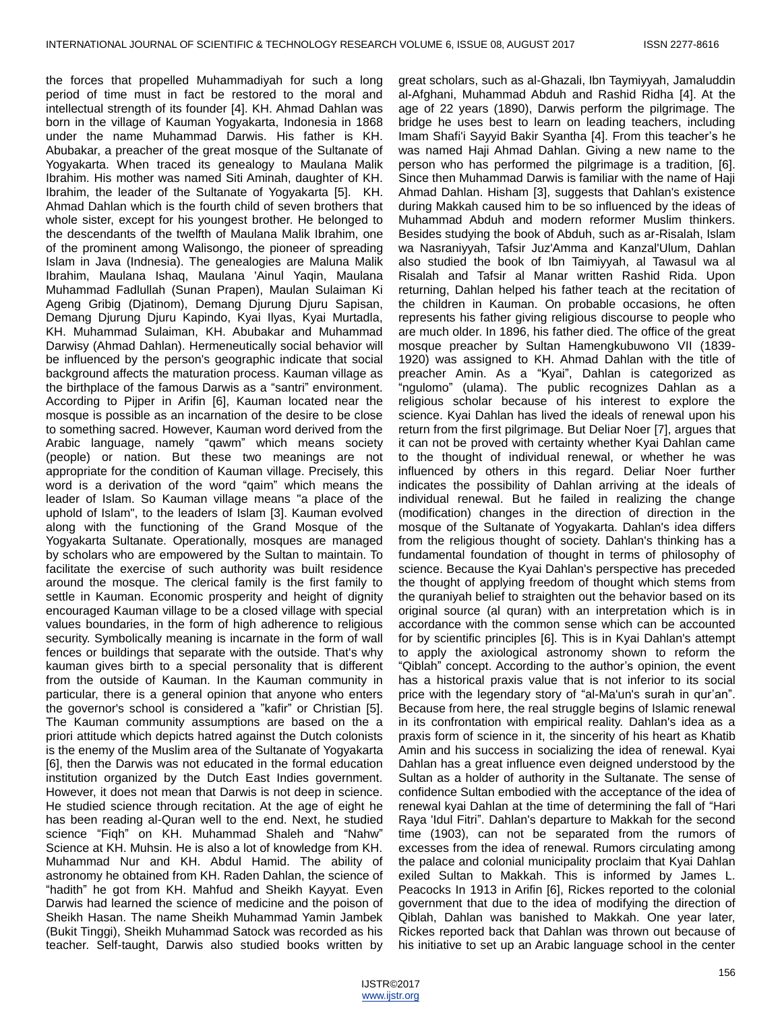the forces that propelled Muhammadiyah for such a long period of time must in fact be restored to the moral and intellectual strength of its founder [4]. KH. Ahmad Dahlan was born in the village of Kauman Yogyakarta, Indonesia in 1868 under the name Muhammad Darwis. His father is KH. Abubakar, a preacher of the great mosque of the Sultanate of Yogyakarta. When traced its genealogy to Maulana Malik Ibrahim. His mother was named Siti Aminah, daughter of KH. Ibrahim, the leader of the Sultanate of Yogyakarta [5]. KH. Ahmad Dahlan which is the fourth child of seven brothers that whole sister, except for his youngest brother. He belonged to the descendants of the twelfth of Maulana Malik Ibrahim, one of the prominent among Walisongo, the pioneer of spreading Islam in Java (Indnesia). The genealogies are Maluna Malik Ibrahim, Maulana Ishaq, Maulana 'Ainul Yaqin, Maulana Muhammad Fadlullah (Sunan Prapen), Maulan Sulaiman Ki Ageng Gribig (Djatinom), Demang Djurung Djuru Sapisan, Demang Djurung Djuru Kapindo, Kyai Ilyas, Kyai Murtadla, KH. Muhammad Sulaiman, KH. Abubakar and Muhammad Darwisy (Ahmad Dahlan). Hermeneutically social behavior will be influenced by the person's geographic indicate that social background affects the maturation process. Kauman village as the birthplace of the famous Darwis as a "santri" environment. According to Pijper in Arifin [6], Kauman located near the mosque is possible as an incarnation of the desire to be close to something sacred. However, Kauman word derived from the Arabic language, namely "qawm" which means society (people) or nation. But these two meanings are not appropriate for the condition of Kauman village. Precisely, this word is a derivation of the word "qaim" which means the leader of Islam. So Kauman village means "a place of the uphold of Islam", to the leaders of Islam [3]. Kauman evolved along with the functioning of the Grand Mosque of the Yogyakarta Sultanate. Operationally, mosques are managed by scholars who are empowered by the Sultan to maintain. To facilitate the exercise of such authority was built residence around the mosque. The clerical family is the first family to settle in Kauman. Economic prosperity and height of dignity encouraged Kauman village to be a closed village with special values boundaries, in the form of high adherence to religious security. Symbolically meaning is incarnate in the form of wall fences or buildings that separate with the outside. That's why kauman gives birth to a special personality that is different from the outside of Kauman. In the Kauman community in particular, there is a general opinion that anyone who enters the governor's school is considered a "kafir" or Christian [5]. The Kauman community assumptions are based on the a priori attitude which depicts hatred against the Dutch colonists is the enemy of the Muslim area of the Sultanate of Yogyakarta [6], then the Darwis was not educated in the formal education institution organized by the Dutch East Indies government. However, it does not mean that Darwis is not deep in science. He studied science through recitation. At the age of eight he has been reading al-Quran well to the end. Next, he studied science "Fiqh" on KH. Muhammad Shaleh and "Nahw" Science at KH. Muhsin. He is also a lot of knowledge from KH. Muhammad Nur and KH. Abdul Hamid. The ability of astronomy he obtained from KH. Raden Dahlan, the science of "hadith" he got from KH. Mahfud and Sheikh Kayyat. Even Darwis had learned the science of medicine and the poison of Sheikh Hasan. The name Sheikh Muhammad Yamin Jambek (Bukit Tinggi), Sheikh Muhammad Satock was recorded as his teacher. Self-taught, Darwis also studied books written by

great scholars, such as al-Ghazali, Ibn Taymiyyah, Jamaluddin al-Afghani, Muhammad Abduh and Rashid Ridha [4]. At the age of 22 years (1890), Darwis perform the pilgrimage. The bridge he uses best to learn on leading teachers, including Imam Shafi'i Sayyid Bakir Syantha [4]. From this teacher's he was named Haji Ahmad Dahlan. Giving a new name to the person who has performed the pilgrimage is a tradition, [6]. Since then Muhammad Darwis is familiar with the name of Haji Ahmad Dahlan. Hisham [3], suggests that Dahlan's existence during Makkah caused him to be so influenced by the ideas of Muhammad Abduh and modern reformer Muslim thinkers. Besides studying the book of Abduh, such as ar-Risalah, Islam wa Nasraniyyah, Tafsir Juz'Amma and Kanzal'Ulum, Dahlan also studied the book of Ibn Taimiyyah, al Tawasul wa al Risalah and Tafsir al Manar written Rashid Rida. Upon returning, Dahlan helped his father teach at the recitation of the children in Kauman. On probable occasions, he often represents his father giving religious discourse to people who are much older. In 1896, his father died. The office of the great mosque preacher by Sultan Hamengkubuwono VII (1839- 1920) was assigned to KH. Ahmad Dahlan with the title of preacher Amin. As a "Kyai", Dahlan is categorized as "ngulomo" (ulama). The public recognizes Dahlan as a religious scholar because of his interest to explore the science. Kyai Dahlan has lived the ideals of renewal upon his return from the first pilgrimage. But Deliar Noer [7], argues that it can not be proved with certainty whether Kyai Dahlan came to the thought of individual renewal, or whether he was influenced by others in this regard. Deliar Noer further indicates the possibility of Dahlan arriving at the ideals of individual renewal. But he failed in realizing the change (modification) changes in the direction of direction in the mosque of the Sultanate of Yogyakarta. Dahlan's idea differs from the religious thought of society. Dahlan's thinking has a fundamental foundation of thought in terms of philosophy of science. Because the Kyai Dahlan's perspective has preceded the thought of applying freedom of thought which stems from the quraniyah belief to straighten out the behavior based on its original source (al quran) with an interpretation which is in accordance with the common sense which can be accounted for by scientific principles [6]. This is in Kyai Dahlan's attempt to apply the axiological astronomy shown to reform the "Qiblah" concept. According to the author's opinion, the event has a historical praxis value that is not inferior to its social price with the legendary story of "al-Ma'un's surah in qur'an". Because from here, the real struggle begins of Islamic renewal in its confrontation with empirical reality. Dahlan's idea as a praxis form of science in it, the sincerity of his heart as Khatib Amin and his success in socializing the idea of renewal. Kyai Dahlan has a great influence even deigned understood by the Sultan as a holder of authority in the Sultanate. The sense of confidence Sultan embodied with the acceptance of the idea of renewal kyai Dahlan at the time of determining the fall of "Hari Raya 'Idul Fitri". Dahlan's departure to Makkah for the second time (1903), can not be separated from the rumors of excesses from the idea of renewal. Rumors circulating among the palace and colonial municipality proclaim that Kyai Dahlan exiled Sultan to Makkah. This is informed by James L. Peacocks In 1913 in Arifin [6], Rickes reported to the colonial government that due to the idea of modifying the direction of Qiblah, Dahlan was banished to Makkah. One year later, Rickes reported back that Dahlan was thrown out because of his initiative to set up an Arabic language school in the center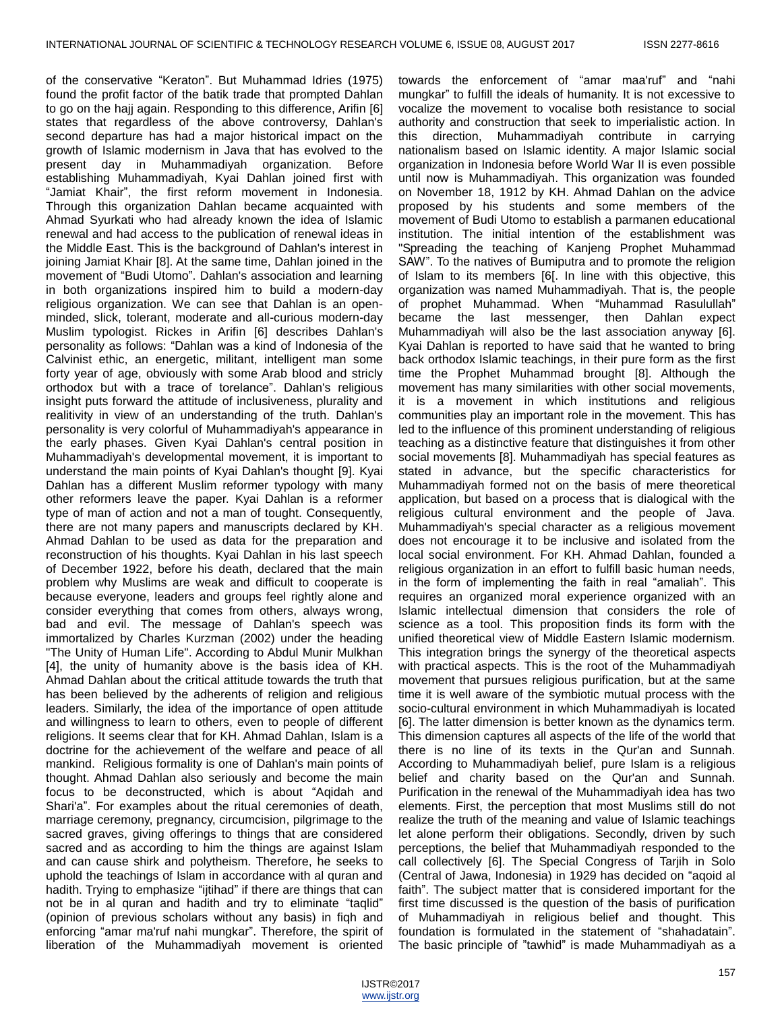of the conservative "Keraton". But Muhammad Idries (1975) found the profit factor of the batik trade that prompted Dahlan to go on the hajj again. Responding to this difference, Arifin [6] states that regardless of the above controversy, Dahlan's second departure has had a major historical impact on the growth of Islamic modernism in Java that has evolved to the present day in Muhammadiyah organization. Before establishing Muhammadiyah, Kyai Dahlan joined first with "Jamiat Khair", the first reform movement in Indonesia. Through this organization Dahlan became acquainted with Ahmad Syurkati who had already known the idea of Islamic renewal and had access to the publication of renewal ideas in the Middle East. This is the background of Dahlan's interest in joining Jamiat Khair [8]. At the same time, Dahlan joined in the movement of "Budi Utomo". Dahlan's association and learning in both organizations inspired him to build a modern-day religious organization. We can see that Dahlan is an openminded, slick, tolerant, moderate and all-curious modern-day Muslim typologist. Rickes in Arifin [6] describes Dahlan's personality as follows: "Dahlan was a kind of Indonesia of the Calvinist ethic, an energetic, militant, intelligent man some forty year of age, obviously with some Arab blood and stricly orthodox but with a trace of torelance". Dahlan's religious insight puts forward the attitude of inclusiveness, plurality and realitivity in view of an understanding of the truth. Dahlan's personality is very colorful of Muhammadiyah's appearance in the early phases. Given Kyai Dahlan's central position in Muhammadiyah's developmental movement, it is important to understand the main points of Kyai Dahlan's thought [9]. Kyai Dahlan has a different Muslim reformer typology with many other reformers leave the paper. Kyai Dahlan is a reformer type of man of action and not a man of tought. Consequently, there are not many papers and manuscripts declared by KH. Ahmad Dahlan to be used as data for the preparation and reconstruction of his thoughts. Kyai Dahlan in his last speech of December 1922, before his death, declared that the main problem why Muslims are weak and difficult to cooperate is because everyone, leaders and groups feel rightly alone and consider everything that comes from others, always wrong, bad and evil. The message of Dahlan's speech was immortalized by Charles Kurzman (2002) under the heading "The Unity of Human Life". According to Abdul Munir Mulkhan [4], the unity of humanity above is the basis idea of KH. Ahmad Dahlan about the critical attitude towards the truth that has been believed by the adherents of religion and religious leaders. Similarly, the idea of the importance of open attitude and willingness to learn to others, even to people of different religions. It seems clear that for KH. Ahmad Dahlan, Islam is a doctrine for the achievement of the welfare and peace of all mankind. Religious formality is one of Dahlan's main points of thought. Ahmad Dahlan also seriously and become the main focus to be deconstructed, which is about "Aqidah and Shari'a". For examples about the ritual ceremonies of death, marriage ceremony, pregnancy, circumcision, pilgrimage to the sacred graves, giving offerings to things that are considered sacred and as according to him the things are against Islam and can cause shirk and polytheism. Therefore, he seeks to uphold the teachings of Islam in accordance with al quran and hadith. Trying to emphasize "ijtihad" if there are things that can not be in al quran and hadith and try to eliminate "taqlid" (opinion of previous scholars without any basis) in fiqh and enforcing "amar ma'ruf nahi mungkar". Therefore, the spirit of liberation of the Muhammadiyah movement is oriented

towards the enforcement of "amar maa'ruf" and "nahi mungkar" to fulfill the ideals of humanity. It is not excessive to vocalize the movement to vocalise both resistance to social authority and construction that seek to imperialistic action. In this direction, Muhammadiyah contribute in carrying nationalism based on Islamic identity. A major Islamic social organization in Indonesia before World War II is even possible until now is Muhammadiyah. This organization was founded on November 18, 1912 by KH. Ahmad Dahlan on the advice proposed by his students and some members of the movement of Budi Utomo to establish a parmanen educational institution. The initial intention of the establishment was "Spreading the teaching of Kanjeng Prophet Muhammad SAW". To the natives of Bumiputra and to promote the religion of Islam to its members [6[. In line with this objective, this organization was named Muhammadiyah. That is, the people of prophet Muhammad. When "Muhammad Rasulullah" became the last messenger, then Dahlan expect Muhammadiyah will also be the last association anyway [6]. Kyai Dahlan is reported to have said that he wanted to bring back orthodox Islamic teachings, in their pure form as the first time the Prophet Muhammad brought [8]. Although the movement has many similarities with other social movements, it is a movement in which institutions and religious communities play an important role in the movement. This has led to the influence of this prominent understanding of religious teaching as a distinctive feature that distinguishes it from other social movements [8]. Muhammadiyah has special features as stated in advance, but the specific characteristics for Muhammadiyah formed not on the basis of mere theoretical application, but based on a process that is dialogical with the religious cultural environment and the people of Java. Muhammadiyah's special character as a religious movement does not encourage it to be inclusive and isolated from the local social environment. For KH. Ahmad Dahlan, founded a religious organization in an effort to fulfill basic human needs, in the form of implementing the faith in real "amaliah". This requires an organized moral experience organized with an Islamic intellectual dimension that considers the role of science as a tool. This proposition finds its form with the unified theoretical view of Middle Eastern Islamic modernism. This integration brings the synergy of the theoretical aspects with practical aspects. This is the root of the Muhammadiyah movement that pursues religious purification, but at the same time it is well aware of the symbiotic mutual process with the socio-cultural environment in which Muhammadiyah is located [6]. The latter dimension is better known as the dynamics term. This dimension captures all aspects of the life of the world that there is no line of its texts in the Qur'an and Sunnah. According to Muhammadiyah belief, pure Islam is a religious belief and charity based on the Qur'an and Sunnah. Purification in the renewal of the Muhammadiyah idea has two elements. First, the perception that most Muslims still do not realize the truth of the meaning and value of Islamic teachings let alone perform their obligations. Secondly, driven by such perceptions, the belief that Muhammadiyah responded to the call collectively [6]. The Special Congress of Tarjih in Solo (Central of Jawa, Indonesia) in 1929 has decided on "aqoid al faith". The subject matter that is considered important for the first time discussed is the question of the basis of purification of Muhammadiyah in religious belief and thought. This foundation is formulated in the statement of "shahadatain". The basic principle of "tawhid" is made Muhammadiyah as a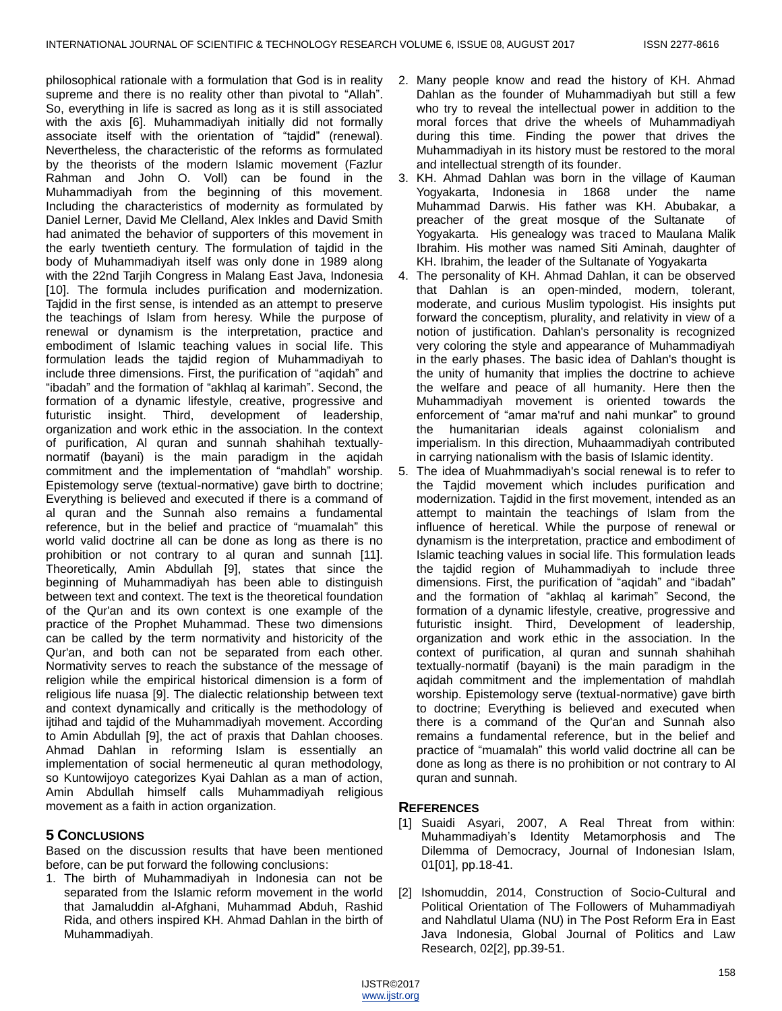philosophical rationale with a formulation that God is in reality supreme and there is no reality other than pivotal to "Allah". So, everything in life is sacred as long as it is still associated with the axis [6]. Muhammadiyah initially did not formally associate itself with the orientation of "tajdid" (renewal). Nevertheless, the characteristic of the reforms as formulated by the theorists of the modern Islamic movement (Fazlur Rahman and John O. Voll) can be found in the Muhammadiyah from the beginning of this movement. Including the characteristics of modernity as formulated by Daniel Lerner, David Me Clelland, Alex Inkles and David Smith had animated the behavior of supporters of this movement in the early twentieth century. The formulation of tajdid in the body of Muhammadiyah itself was only done in 1989 along with the 22nd Tarjih Congress in Malang East Java, Indonesia [10]. The formula includes purification and modernization. Tajdid in the first sense, is intended as an attempt to preserve the teachings of Islam from heresy. While the purpose of renewal or dynamism is the interpretation, practice and embodiment of Islamic teaching values in social life. This formulation leads the tajdid region of Muhammadiyah to include three dimensions. First, the purification of "aqidah" and "ibadah" and the formation of "akhlaq al karimah". Second, the formation of a dynamic lifestyle, creative, progressive and futuristic insight. Third, development of leadership, organization and work ethic in the association. In the context of purification, Al quran and sunnah shahihah textuallynormatif (bayani) is the main paradigm in the aqidah commitment and the implementation of "mahdlah" worship. Epistemology serve (textual-normative) gave birth to doctrine; Everything is believed and executed if there is a command of al quran and the Sunnah also remains a fundamental reference, but in the belief and practice of "muamalah" this world valid doctrine all can be done as long as there is no prohibition or not contrary to al quran and sunnah [11]. Theoretically, Amin Abdullah [9], states that since the beginning of Muhammadiyah has been able to distinguish between text and context. The text is the theoretical foundation of the Qur'an and its own context is one example of the practice of the Prophet Muhammad. These two dimensions can be called by the term normativity and historicity of the Qur'an, and both can not be separated from each other. Normativity serves to reach the substance of the message of religion while the empirical historical dimension is a form of religious life nuasa [9]. The dialectic relationship between text and context dynamically and critically is the methodology of ijtihad and tajdid of the Muhammadiyah movement. According to Amin Abdullah [9], the act of praxis that Dahlan chooses. Ahmad Dahlan in reforming Islam is essentially an implementation of social hermeneutic al quran methodology, so Kuntowijoyo categorizes Kyai Dahlan as a man of action, Amin Abdullah himself calls Muhammadiyah religious movement as a faith in action organization.

# **5 CONCLUSIONS**

Based on the discussion results that have been mentioned before, can be put forward the following conclusions:

1. The birth of Muhammadiyah in Indonesia can not be separated from the Islamic reform movement in the world that Jamaluddin al-Afghani, Muhammad Abduh, Rashid Rida, and others inspired KH. Ahmad Dahlan in the birth of Muhammadiyah.

- 2. Many people know and read the history of KH. Ahmad Dahlan as the founder of Muhammadiyah but still a few who try to reveal the intellectual power in addition to the moral forces that drive the wheels of Muhammadiyah during this time. Finding the power that drives the Muhammadiyah in its history must be restored to the moral and intellectual strength of its founder.
- 3. KH. Ahmad Dahlan was born in the village of Kauman Yogyakarta, Indonesia in 1868 under the name Muhammad Darwis. His father was KH. Abubakar, a preacher of the great mosque of the Sultanate of Yogyakarta. His genealogy was traced to Maulana Malik Ibrahim. His mother was named Siti Aminah, daughter of KH. Ibrahim, the leader of the Sultanate of Yogyakarta
- 4. The personality of KH. Ahmad Dahlan, it can be observed that Dahlan is an open-minded, modern, tolerant, moderate, and curious Muslim typologist. His insights put forward the conceptism, plurality, and relativity in view of a notion of justification. Dahlan's personality is recognized very coloring the style and appearance of Muhammadiyah in the early phases. The basic idea of Dahlan's thought is the unity of humanity that implies the doctrine to achieve the welfare and peace of all humanity. Here then the Muhammadiyah movement is oriented towards the enforcement of "amar ma'ruf and nahi munkar" to ground the humanitarian ideals against colonialism and imperialism. In this direction, Muhaammadiyah contributed in carrying nationalism with the basis of Islamic identity.
- 5. The idea of Muahmmadiyah's social renewal is to refer to the Tajdid movement which includes purification and modernization. Tajdid in the first movement, intended as an attempt to maintain the teachings of Islam from the influence of heretical. While the purpose of renewal or dynamism is the interpretation, practice and embodiment of Islamic teaching values in social life. This formulation leads the tajdid region of Muhammadiyah to include three dimensions. First, the purification of "aqidah" and "ibadah" and the formation of "akhlaq al karimah" Second, the formation of a dynamic lifestyle, creative, progressive and futuristic insight. Third, Development of leadership, organization and work ethic in the association. In the context of purification, al quran and sunnah shahihah textually-normatif (bayani) is the main paradigm in the aqidah commitment and the implementation of mahdlah worship. Epistemology serve (textual-normative) gave birth to doctrine; Everything is believed and executed when there is a command of the Qur'an and Sunnah also remains a fundamental reference, but in the belief and practice of "muamalah" this world valid doctrine all can be done as long as there is no prohibition or not contrary to Al quran and sunnah.

# **REFERENCES**

- [1] Suaidi Asyari, 2007, A Real Threat from within: Muhammadiyah's Identity Metamorphosis and The Dilemma of Democracy, Journal of Indonesian Islam, 01[01], pp.18-41.
- [2] Ishomuddin, 2014, Construction of Socio-Cultural and Political Orientation of The Followers of Muhammadiyah and Nahdlatul Ulama (NU) in The Post Reform Era in East Java Indonesia, Global Journal of Politics and Law Research, 02[2], pp.39-51.